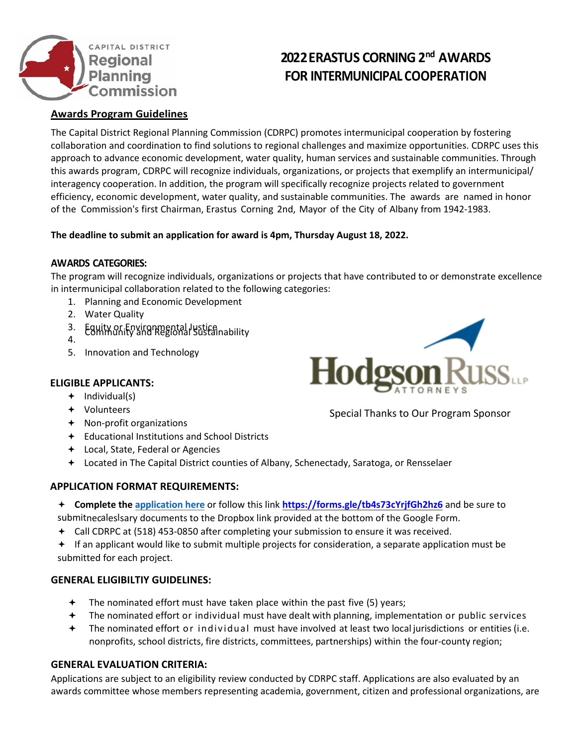

# **2022ERASTUS CORNING 2 nd AWARDS FOR INTERMUNICIPAL COOPERATION**

# **Awards Program Guidelines**

The Capital District Regional Planning Commission (CDRPC) promotes intermunicipal cooperation by fostering collaboration and coordination to find solutions to regional challenges and maximize opportunities. CDRPC uses this approach to advance economic development, water quality, human services and sustainable communities. Through this awards program, CDRPC will recognize individuals, organizations, or projects that exemplify an intermunicipal/ interagency cooperation. In addition, the program will specifically recognize projects related to government efficiency, economic development, water quality, and sustainable communities. The awards are named in honor of the Commission's first Chairman, Erastus Corning 2nd, Mayor of the City of Albany from 1942-1983.

## **The deadline to submit an application for award is 4pm, Thursday August 18, 2022.**

## **AWARDS CATEGORIES:**

The program will recognize individuals, organizations or projects that have contributed to or demonstrate excellence in intermunicipal collaboration related to the following categories:

- 1. Planning and Economic Development
- 2. Water Quality
- 3. Equity or Environmental Justice Community and Regional Sustainability
- 4.
- 5. Innovation and Technology

#### **ELIGIBLE APPLICANTS:**

- $+$  Individual(s)
- Volunteers
- Non-profit organizations
- Educational Institutions and School Districts
- Local, State, Federal or Agencies
- Located in The Capital District counties of Albany, Schenectady, Saratoga, or Rensselaer

#### **APPLICATION FORMAT REQUIREMENTS:**

 **Complete the a[pplication here](https://forms.gle/2N7D2AZU6E6mpu2t5)** or follow this link **h[ttps://forms.gle/tb4s73cYrjfGh2h](https://forms.gle/tb4s73cYrjfGh2hz6)z6** and be sure to submitnecaleslsary documents to the Dropbox link provided at the bottom of the Google Form.

- Call CDRPC at (518) 453-0850 after completing your submission to ensure it was received.
- If an applicant would like to submit multiple projects for consideration, a separate application must be submitted for each project.

#### **GENERAL ELIGIBILTIY GUIDELINES:**

- $\div$  The nominated effort must have taken place within the past five (5) years;
- $\div$  The nominated effort or individual must have dealt with planning, implementation or public services
- The nominated effort or individual must have involved at least two local jurisdictions or entities (i.e. nonprofits, school districts, fire districts, committees, partnerships) within the four-county region;

#### **GENERAL EVALUATION CRITERIA:**

Applications are subject to an eligibility review conducted by CDRPC staff. Applications are also evaluated by an awards committee whose members representing academia, government, citizen and professional organizations, are



Special Thanks to Our Program Sponsor